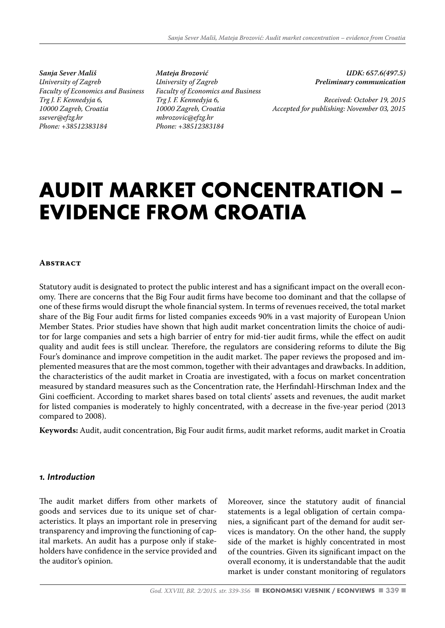*Sanja Sever Mališ University of Zagreb Faculty of Economics and Business Trg J. F. Kennedyja 6, 10000 Zagreb, Croatia ssever@efzg.hr Phone: +38512383184*

*Mateja Brozović University of Zagreb Faculty of Economics and Business Trg J. F. Kennedyja 6, 10000 Zagreb, Croatia mbrozovic@efzg.hr Phone: +38512383184*

*UDK: 657.6(497.5) Preliminary communication* 

*Received: October 19, 2015 Accepted for publishing: November 03, 2015*

# **AUDIT MARKET CONCENTRATION – EVIDENCE FROM CROATIA**

#### **ABSTRACT**

Statutory audit is designated to protect the public interest and has a significant impact on the overall economy. There are concerns that the Big Four audit firms have become too dominant and that the collapse of one of these firms would disrupt the whole financial system. In terms of revenues received, the total market share of the Big Four audit firms for listed companies exceeds 90% in a vast majority of European Union Member States. Prior studies have shown that high audit market concentration limits the choice of auditor for large companies and sets a high barrier of entry for mid-tier audit firms, while the effect on audit quality and audit fees is still unclear. Therefore, the regulators are considering reforms to dilute the Big Four's dominance and improve competition in the audit market. The paper reviews the proposed and implemented measures that are the most common, together with their advantages and drawbacks. In addition, the characteristics of the audit market in Croatia are investigated, with a focus on market concentration measured by standard measures such as the Concentration rate, the Herfindahl-Hirschman Index and the Gini coefficient. According to market shares based on total clients' assets and revenues, the audit market for listed companies is moderately to highly concentrated, with a decrease in the five-year period (2013 compared to 2008).

**Keywords:** Audit, audit concentration, Big Four audit firms, audit market reforms, audit market in Croatia

#### *1. Introduction*

The audit market differs from other markets of goods and services due to its unique set of characteristics. It plays an important role in preserving transparency and improving the functioning of capital markets. An audit has a purpose only if stakeholders have confidence in the service provided and the auditor's opinion.

Moreover, since the statutory audit of financial statements is a legal obligation of certain companies, a significant part of the demand for audit services is mandatory. On the other hand, the supply side of the market is highly concentrated in most of the countries. Given its significant impact on the overall economy, it is understandable that the audit market is under constant monitoring of regulators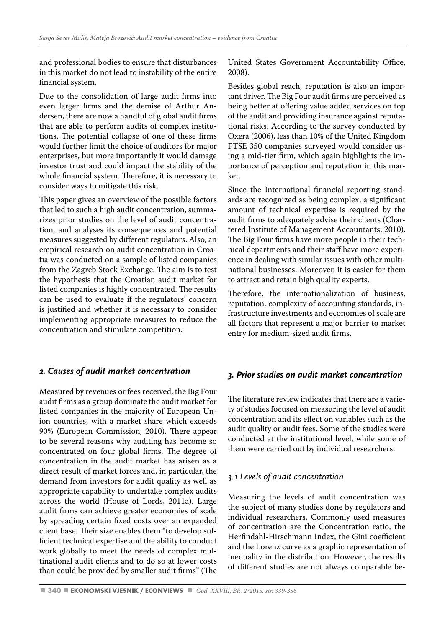and professional bodies to ensure that disturbances in this market do not lead to instability of the entire financial system.

Due to the consolidation of large audit firms into even larger firms and the demise of Arthur Andersen, there are now a handful of global audit firms that are able to perform audits of complex institutions. The potential collapse of one of these firms would further limit the choice of auditors for major enterprises, but more importantly it would damage investor trust and could impact the stability of the whole financial system. Therefore, it is necessary to consider ways to mitigate this risk.

This paper gives an overview of the possible factors that led to such a high audit concentration, summarizes prior studies on the level of audit concentration, and analyses its consequences and potential measures suggested by different regulators. Also, an empirical research on audit concentration in Croatia was conducted on a sample of listed companies from the Zagreb Stock Exchange. The aim is to test the hypothesis that the Croatian audit market for listed companies is highly concentrated. The results can be used to evaluate if the regulators' concern is justified and whether it is necessary to consider implementing appropriate measures to reduce the concentration and stimulate competition.

# *2. Causes of audit market concentration*

Measured by revenues or fees received, the Big Four audit firms as a group dominate the audit market for listed companies in the majority of European Union countries, with a market share which exceeds 90% (European Commission, 2010). There appear to be several reasons why auditing has become so concentrated on four global firms. The degree of concentration in the audit market has arisen as a direct result of market forces and, in particular, the demand from investors for audit quality as well as appropriate capability to undertake complex audits across the world (House of Lords, 2011a). Large audit firms can achieve greater economies of scale by spreading certain fixed costs over an expanded client base. Their size enables them "to develop sufficient technical expertise and the ability to conduct work globally to meet the needs of complex multinational audit clients and to do so at lower costs than could be provided by smaller audit firms" (The United States Government Accountability Office, 2008).

Besides global reach, reputation is also an important driver. The Big Four audit firms are perceived as being better at offering value added services on top of the audit and providing insurance against reputational risks. According to the survey conducted by Oxera (2006), less than 10% of the United Kingdom FTSE 350 companies surveyed would consider using a mid-tier firm, which again highlights the importance of perception and reputation in this market.

Since the International financial reporting standards are recognized as being complex, a significant amount of technical expertise is required by the audit firms to adequately advise their clients (Chartered Institute of Management Accountants, 2010). The Big Four firms have more people in their technical departments and their staff have more experience in dealing with similar issues with other multinational businesses. Moreover, it is easier for them to attract and retain high quality experts.

Therefore, the internationalization of business, reputation, complexity of accounting standards, infrastructure investments and economies of scale are all factors that represent a major barrier to market entry for medium-sized audit firms.

# *3. Prior studies on audit market concentration*

The literature review indicates that there are a variety of studies focused on measuring the level of audit concentration and its effect on variables such as the audit quality or audit fees. Some of the studies were conducted at the institutional level, while some of them were carried out by individual researchers.

# *3.1 Levels of audit concentration*

Measuring the levels of audit concentration was the subject of many studies done by regulators and individual researchers. Commonly used measures of concentration are the Concentration ratio, the Herfindahl-Hirschmann Index, the Gini coefficient and the Lorenz curve as a graphic representation of inequality in the distribution. However, the results of different studies are not always comparable be-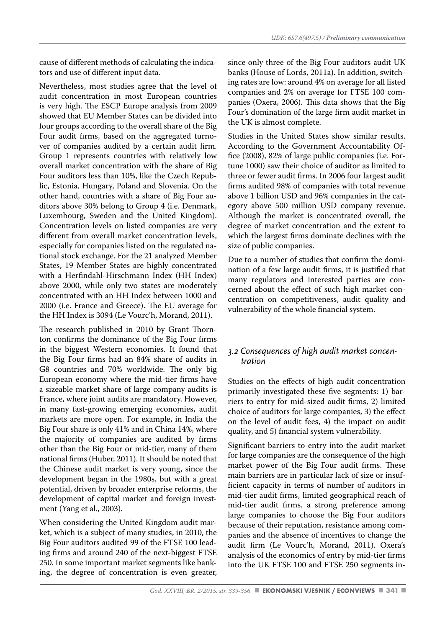*UDK: 657.6(497.5) / Preliminary communication*

cause of different methods of calculating the indicators and use of different input data.

Nevertheless, most studies agree that the level of audit concentration in most European countries is very high. The ESCP Europe analysis from 2009 showed that EU Member States can be divided into four groups according to the overall share of the Big Four audit firms, based on the aggregated turnover of companies audited by a certain audit firm. Group 1 represents countries with relatively low overall market concentration with the share of Big Four auditors less than 10%, like the Czech Republic, Estonia, Hungary, Poland and Slovenia. On the other hand, countries with a share of Big Four auditors above 30% belong to Group 4 (i.e. Denmark, Luxembourg, Sweden and the United Kingdom). Concentration levels on listed companies are very different from overall market concentration levels, especially for companies listed on the regulated national stock exchange. For the 21 analyzed Member States, 19 Member States are highly concentrated with a Herfindahl-Hirschmann Index (HH Index) above 2000, while only two states are moderately concentrated with an HH Index between 1000 and 2000 (i.e. France and Greece). The EU average for the HH Index is 3094 (Le Vourc'h, Morand, 2011).

The research published in 2010 by Grant Thornton confirms the dominance of the Big Four firms in the biggest Western economies. It found that the Big Four firms had an 84% share of audits in G8 countries and 70% worldwide. The only big European economy where the mid-tier firms have a sizeable market share of large company audits is France, where joint audits are mandatory. However, in many fast-growing emerging economies, audit markets are more open. For example, in India the Big Four share is only 41% and in China 14%, where the majority of companies are audited by firms other than the Big Four or mid-tier, many of them national firms (Huber, 2011). It should be noted that the Chinese audit market is very young, since the development began in the 1980s, but with a great potential, driven by broader enterprise reforms, the development of capital market and foreign investment (Yang et al., 2003).

When considering the United Kingdom audit market, which is a subject of many studies, in 2010, the Big Four auditors audited 99 of the FTSE 100 leading firms and around 240 of the next-biggest FTSE 250. In some important market segments like banking, the degree of concentration is even greater, since only three of the Big Four auditors audit UK banks (House of Lords, 2011a). In addition, switching rates are low: around 4% on average for all listed companies and 2% on average for FTSE 100 companies (Oxera, 2006). This data shows that the Big Four's domination of the large firm audit market in the UK is almost complete.

Studies in the United States show similar results. According to the Government Accountability Office (2008), 82% of large public companies (i.e. Fortune 1000) saw their choice of auditor as limited to three or fewer audit firms. In 2006 four largest audit firms audited 98% of companies with total revenue above 1 billion USD and 96% companies in the category above 500 million USD company revenue. Although the market is concentrated overall, the degree of market concentration and the extent to which the largest firms dominate declines with the size of public companies.

Due to a number of studies that confirm the domination of a few large audit firms, it is justified that many regulators and interested parties are concerned about the effect of such high market concentration on competitiveness, audit quality and vulnerability of the whole financial system.

# *3.2 Consequences of high audit market concentration*

Studies on the effects of high audit concentration primarily investigated these five segments: 1) barriers to entry for mid-sized audit firms, 2) limited choice of auditors for large companies, 3) the effect on the level of audit fees, 4) the impact on audit quality, and 5) financial system vulnerability.

Significant barriers to entry into the audit market for large companies are the consequence of the high market power of the Big Four audit firms. These main barriers are in particular lack of size or insufficient capacity in terms of number of auditors in mid-tier audit firms, limited geographical reach of mid-tier audit firms, a strong preference among large companies to choose the Big Four auditors because of their reputation, resistance among companies and the absence of incentives to change the audit firm (Le Vourc'h, Morand, 2011). Oxera's analysis of the economics of entry by mid-tier firms into the UK FTSE 100 and FTSE 250 segments in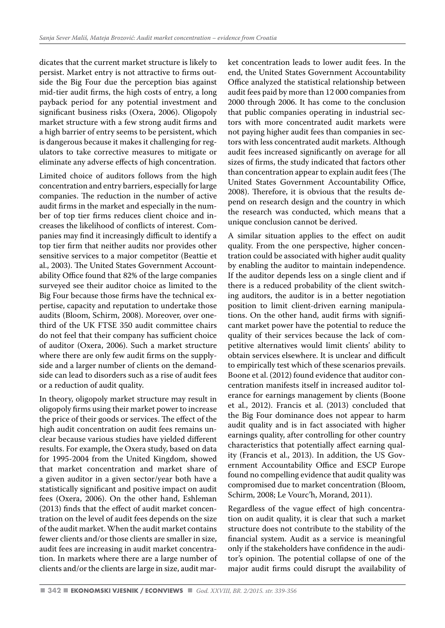dicates that the current market structure is likely to persist. Market entry is not attractive to firms outside the Big Four due the perception bias against mid-tier audit firms, the high costs of entry, a long payback period for any potential investment and significant business risks (Oxera, 2006). Oligopoly market structure with a few strong audit firms and a high barrier of entry seems to be persistent, which is dangerous because it makes it challenging for regulators to take corrective measures to mitigate or eliminate any adverse effects of high concentration.

Limited choice of auditors follows from the high concentration and entry barriers, especially for large companies. The reduction in the number of active audit firms in the market and especially in the number of top tier firms reduces client choice and increases the likelihood of conflicts of interest. Companies may find it increasingly difficult to identify a top tier firm that neither audits nor provides other sensitive services to a major competitor (Beattie et al., 2003). The United States Government Accountability Office found that 82% of the large companies surveyed see their auditor choice as limited to the Big Four because those firms have the technical expertise, capacity and reputation to undertake those audits (Bloom, Schirm, 2008). Moreover, over onethird of the UK FTSE 350 audit committee chairs do not feel that their company has sufficient choice of auditor (Oxera, 2006). Such a market structure where there are only few audit firms on the supplyside and a larger number of clients on the demandside can lead to disorders such as a rise of audit fees or a reduction of audit quality.

In theory, oligopoly market structure may result in oligopoly firms using their market power to increase the price of their goods or services. The effect of the high audit concentration on audit fees remains unclear because various studies have yielded different results. For example, the Oxera study, based on data for 1995-2004 from the United Kingdom, showed that market concentration and market share of a given auditor in a given sector/year both have a statistically significant and positive impact on audit fees (Oxera, 2006). On the other hand, Eshleman (2013) finds that the effect of audit market concentration on the level of audit fees depends on the size of the audit market. When the audit market contains fewer clients and/or those clients are smaller in size, audit fees are increasing in audit market concentration. In markets where there are a large number of clients and/or the clients are large in size, audit market concentration leads to lower audit fees. In the end, the United States Government Accountability Office analyzed the statistical relationship between audit fees paid by more than 12 000 companies from 2000 through 2006. It has come to the conclusion that public companies operating in industrial sectors with more concentrated audit markets were not paying higher audit fees than companies in sectors with less concentrated audit markets. Although audit fees increased significantly on average for all sizes of firms, the study indicated that factors other than concentration appear to explain audit fees (The United States Government Accountability Office, 2008). Therefore, it is obvious that the results depend on research design and the country in which the research was conducted, which means that a unique conclusion cannot be derived.

A similar situation applies to the effect on audit quality. From the one perspective, higher concentration could be associated with higher audit quality by enabling the auditor to maintain independence. If the auditor depends less on a single client and if there is a reduced probability of the client switching auditors, the auditor is in a better negotiation position to limit client-driven earning manipulations. On the other hand, audit firms with significant market power have the potential to reduce the quality of their services because the lack of competitive alternatives would limit clients' ability to obtain services elsewhere. It is unclear and difficult to empirically test which of these scenarios prevails. Boone et al. (2012) found evidence that auditor concentration manifests itself in increased auditor tolerance for earnings management by clients (Boone et al., 2012). Francis et al. (2013) concluded that the Big Four dominance does not appear to harm audit quality and is in fact associated with higher earnings quality, after controlling for other country characteristics that potentially affect earning quality (Francis et al., 2013). In addition, the US Government Accountability Office and ESCP Europe found no compelling evidence that audit quality was compromised due to market concentration (Bloom, Schirm, 2008; Le Vourc'h, Morand, 2011).

Regardless of the vague effect of high concentration on audit quality, it is clear that such a market structure does not contribute to the stability of the financial system. Audit as a service is meaningful only if the stakeholders have confidence in the auditor's opinion. The potential collapse of one of the major audit firms could disrupt the availability of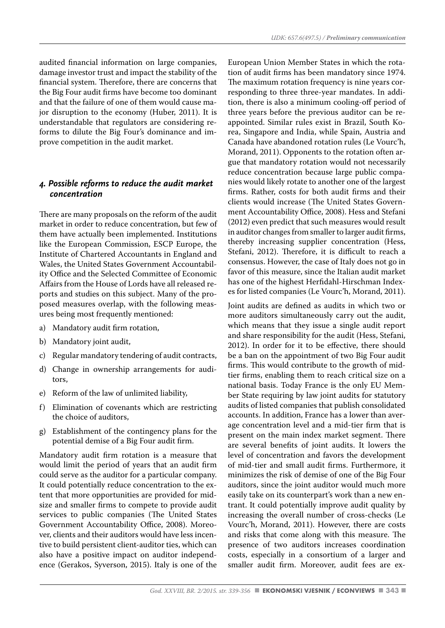audited financial information on large companies, damage investor trust and impact the stability of the financial system. Therefore, there are concerns that the Big Four audit firms have become too dominant and that the failure of one of them would cause major disruption to the economy (Huber, 2011). It is understandable that regulators are considering reforms to dilute the Big Four's dominance and improve competition in the audit market.

#### *4. Possible reforms to reduce the audit market concentration*

There are many proposals on the reform of the audit market in order to reduce concentration, but few of them have actually been implemented. Institutions like the European Commission, ESCP Europe, the Institute of Chartered Accountants in England and Wales, the United States Government Accountability Office and the Selected Committee of Economic Affairs from the House of Lords have all released reports and studies on this subject. Many of the proposed measures overlap, with the following measures being most frequently mentioned:

- a) Mandatory audit firm rotation,
- b) Mandatory joint audit,
- Regular mandatory tendering of audit contracts,
- d) Change in ownership arrangements for auditors,
- e) Reform of the law of unlimited liability,
- f) Elimination of covenants which are restricting the choice of auditors,
- g) Establishment of the contingency plans for the potential demise of a Big Four audit firm.

Mandatory audit firm rotation is a measure that would limit the period of years that an audit firm could serve as the auditor for a particular company. It could potentially reduce concentration to the extent that more opportunities are provided for midsize and smaller firms to compete to provide audit services to public companies (The United States Government Accountability Office, 2008). Moreover, clients and their auditors would have less incentive to build persistent client-auditor ties, which can also have a positive impact on auditor independence (Gerakos, Syverson, 2015). Italy is one of the European Union Member States in which the rotation of audit firms has been mandatory since 1974. The maximum rotation frequency is nine years corresponding to three three-year mandates. In addition, there is also a minimum cooling-off period of three years before the previous auditor can be reappointed. Similar rules exist in Brazil, South Korea, Singapore and India, while Spain, Austria and Canada have abandoned rotation rules (Le Vourc'h, Morand, 2011). Opponents to the rotation often argue that mandatory rotation would not necessarily reduce concentration because large public companies would likely rotate to another one of the largest firms. Rather, costs for both audit firms and their clients would increase (The United States Government Accountability Office, 2008). Hess and Stefani (2012) even predict that such measures would result in auditor changes from smaller to larger audit firms, thereby increasing supplier concentration (Hess, Stefani, 2012). Therefore, it is difficult to reach a consensus. However, the case of Italy does not go in favor of this measure, since the Italian audit market has one of the highest Herfidahl-Hirschman Indexes for listed companies (Le Vourc'h, Morand, 2011).

Joint audits are defined as audits in which two or more auditors simultaneously carry out the audit, which means that they issue a single audit report and share responsibility for the audit (Hess, Stefani, 2012). In order for it to be effective, there should be a ban on the appointment of two Big Four audit firms. This would contribute to the growth of midtier firms, enabling them to reach critical size on a national basis. Today France is the only EU Member State requiring by law joint audits for statutory audits of listed companies that publish consolidated accounts. In addition, France has a lower than average concentration level and a mid-tier firm that is present on the main index market segment. There are several benefits of joint audits. It lowers the level of concentration and favors the development of mid-tier and small audit firms. Furthermore, it minimizes the risk of demise of one of the Big Four auditors, since the joint auditor would much more easily take on its counterpart's work than a new entrant. It could potentially improve audit quality by increasing the overall number of cross-checks (Le Vourc'h, Morand, 2011). However, there are costs and risks that come along with this measure. The presence of two auditors increases coordination costs, especially in a consortium of a larger and smaller audit firm. Moreover, audit fees are ex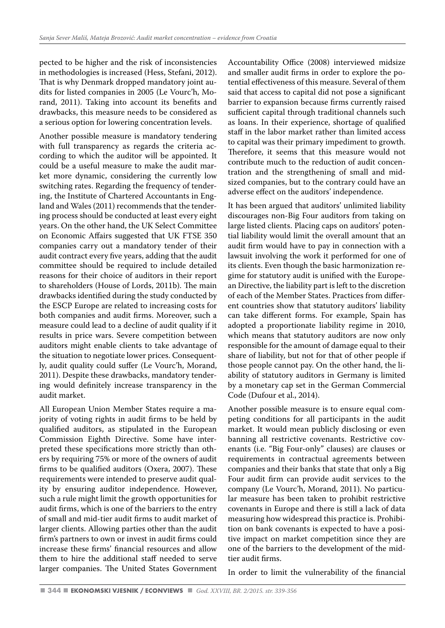pected to be higher and the risk of inconsistencies in methodologies is increased (Hess, Stefani, 2012). That is why Denmark dropped mandatory joint audits for listed companies in 2005 (Le Vourc'h, Morand, 2011). Taking into account its benefits and drawbacks, this measure needs to be considered as a serious option for lowering concentration levels.

Another possible measure is mandatory tendering with full transparency as regards the criteria according to which the auditor will be appointed. It could be a useful measure to make the audit market more dynamic, considering the currently low switching rates. Regarding the frequency of tendering, the Institute of Chartered Accountants in England and Wales (2011) recommends that the tendering process should be conducted at least every eight years. On the other hand, the UK Select Committee on Economic Affairs suggested that UK FTSE 350 companies carry out a mandatory tender of their audit contract every five years, adding that the audit committee should be required to include detailed reasons for their choice of auditors in their report to shareholders (House of Lords, 2011b). The main drawbacks identified during the study conducted by the ESCP Europe are related to increasing costs for both companies and audit firms. Moreover, such a measure could lead to a decline of audit quality if it results in price wars. Severe competition between auditors might enable clients to take advantage of the situation to negotiate lower prices. Consequently, audit quality could suffer (Le Vourc'h, Morand, 2011). Despite these drawbacks, mandatory tendering would definitely increase transparency in the audit market.

All European Union Member States require a majority of voting rights in audit firms to be held by qualified auditors, as stipulated in the European Commission Eighth Directive. Some have interpreted these specifications more strictly than others by requiring 75% or more of the owners of audit firms to be qualified auditors (Oxera, 2007). These requirements were intended to preserve audit quality by ensuring auditor independence. However, such a rule might limit the growth opportunities for audit firms, which is one of the barriers to the entry of small and mid-tier audit firms to audit market of larger clients. Allowing parties other than the audit firm's partners to own or invest in audit firms could increase these firms' financial resources and allow them to hire the additional staff needed to serve larger companies. The United States Government Accountability Office (2008) interviewed midsize and smaller audit firms in order to explore the potential effectiveness of this measure. Several of them said that access to capital did not pose a significant barrier to expansion because firms currently raised sufficient capital through traditional channels such as loans. In their experience, shortage of qualified staff in the labor market rather than limited access to capital was their primary impediment to growth. Therefore, it seems that this measure would not contribute much to the reduction of audit concentration and the strengthening of small and midsized companies, but to the contrary could have an adverse effect on the auditors' independence.

It has been argued that auditors' unlimited liability discourages non-Big Four auditors from taking on large listed clients. Placing caps on auditors' potential liability would limit the overall amount that an audit firm would have to pay in connection with a lawsuit involving the work it performed for one of its clients. Even though the basic harmonization regime for statutory audit is unified with the European Directive, the liability part is left to the discretion of each of the Member States. Practices from different countries show that statutory auditors' liability can take different forms. For example, Spain has adopted a proportionate liability regime in 2010, which means that statutory auditors are now only responsible for the amount of damage equal to their share of liability, but not for that of other people if those people cannot pay. On the other hand, the liability of statutory auditors in Germany is limited by a monetary cap set in the German Commercial Code (Dufour et al., 2014).

Another possible measure is to ensure equal competing conditions for all participants in the audit market. It would mean publicly disclosing or even banning all restrictive covenants. Restrictive covenants (i.e. "Big Four-only" clauses) are clauses or requirements in contractual agreements between companies and their banks that state that only a Big Four audit firm can provide audit services to the company (Le Vourc'h, Morand, 2011). No particular measure has been taken to prohibit restrictive covenants in Europe and there is still a lack of data measuring how widespread this practice is. Prohibition on bank covenants is expected to have a positive impact on market competition since they are one of the barriers to the development of the midtier audit firms.

In order to limit the vulnerability of the financial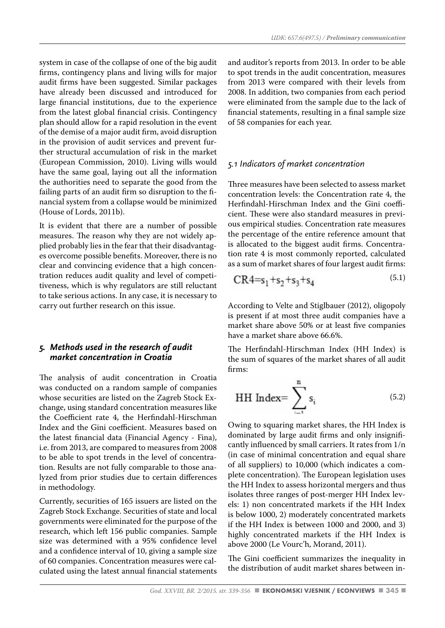system in case of the collapse of one of the big audit firms, contingency plans and living wills for major audit firms have been suggested. Similar packages have already been discussed and introduced for large financial institutions, due to the experience from the latest global financial crisis. Contingency plan should allow for a rapid resolution in the event of the demise of a major audit firm, avoid disruption in the provision of audit services and prevent further structural accumulation of risk in the market (European Commission, 2010). Living wills would have the same goal, laying out all the information the authorities need to separate the good from the failing parts of an audit firm so disruption to the financial system from a collapse would be minimized (House of Lords, 2011b).

It is evident that there are a number of possible measures. The reason why they are not widely applied probably lies in the fear that their disadvantages overcome possible benefits. Moreover, there is no clear and convincing evidence that a high concentration reduces audit quality and level of competitiveness, which is why regulators are still reluctant to take serious actions. In any case, it is necessary to carry out further research on this issue.

#### *5. Methods used in the research of audit market concentration in Croatia*

The analysis of audit concentration in Croatia was conducted on a random sample of companies whose securities are listed on the Zagreb Stock Exchange, using standard concentration measures like the Coefficient rate 4, the Herfindahl-Hirschman Index and the Gini coefficient. Measures based on the latest financial data (Financial Agency - Fina), i.e. from 2013, are compared to measures from 2008 to be able to spot trends in the level of concentration. Results are not fully comparable to those analyzed from prior studies due to certain differences in methodology.

Currently, securities of 165 issuers are listed on the Zagreb Stock Exchange. Securities of state and local governments were eliminated for the purpose of the research, which left 156 public companies. Sample size was determined with a 95% confidence level and a confidence interval of 10, giving a sample size of 60 companies. Concentration measures were calculated using the latest annual financial statements

and auditor's reports from 2013. In order to be able to spot trends in the audit concentration, measures from 2013 were compared with their levels from 2008. In addition, two companies from each period were eliminated from the sample due to the lack of financial statements, resulting in a final sample size of 58 companies for each year.

#### *5.1 Indicators of market concentration*

Three measures have been selected to assess market concentration levels: the Concentration rate 4, the Herfindahl-Hirschman Index and the Gini coefficient. These were also standard measures in previous empirical studies. Concentration rate measures the percentage of the entire reference amount that is allocated to the biggest audit firms. Concentration rate 4 is most commonly reported, calculated as a sum of market shares of four largest audit firms:

$$
CR4 = s_1 + s_2 + s_3 + s_4 \tag{5.1}
$$

According to Velte and Stiglbauer (2012), oligopoly is present if at most three audit companies have a market share above 50% or at least five companies have a market share above 66.6%.

The Herfindahl-Hirschman Index (HH Index) is the sum of squares of the market shares of all audit firms:

HH Index = 
$$
\sum_{i=1}^{n} s_i
$$
 (5.2)

Owing to squaring market shares, the HH Index is dominated by large audit firms and only insignificantly influenced by small carriers. It rates from 1/n (in case of minimal concentration and equal share of all suppliers) to 10,000 (which indicates a complete concentration). The European legislation uses the HH Index to assess horizontal mergers and thus isolates three ranges of post-merger HH Index levels: 1) non concentrated markets if the HH Index is below 1000, 2) moderately concentrated markets if the HH Index is between 1000 and 2000, and 3) highly concentrated markets if the HH Index is above 2000 (Le Vourc'h, Morand, 2011).

The Gini coefficient summarizes the inequality in the distribution of audit market shares between in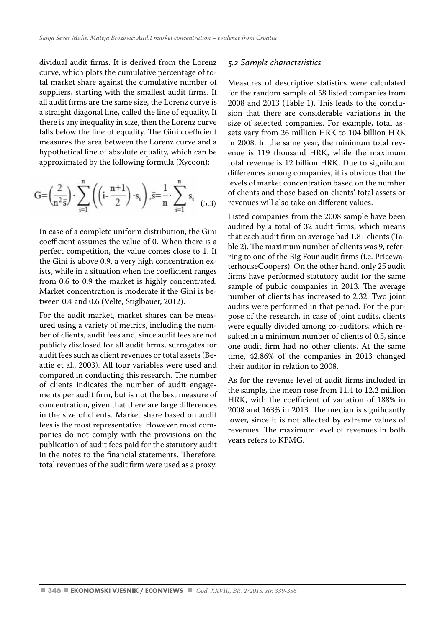dividual audit firms. It is derived from the Lorenz curve, which plots the cumulative percentage of total market share against the cumulative number of suppliers, starting with the smallest audit firms. If all audit firms are the same size, the Lorenz curve is a straight diagonal line, called the line of equality. If there is any inequality in size, then the Lorenz curve falls below the line of equality. The Gini coefficient measures the area between the Lorenz curve and a hypothetical line of absolute equality, which can be approximated by the following formula (Xycoon):

$$
G = \left(\frac{2}{n^2 \bar{s}}\right) \cdot \sum_{i=1}^{n} \left( \left(i - \frac{n+1}{2}\right) \cdot s_i \right), \bar{s} = \frac{1}{n} \cdot \sum_{i=1}^{n} s_i \tag{5.3}
$$

In case of a complete uniform distribution, the Gini coefficient assumes the value of 0. When there is a perfect competition, the value comes close to 1. If the Gini is above 0.9, a very high concentration exists, while in a situation when the coefficient ranges from 0.6 to 0.9 the market is highly concentrated. Market concentration is moderate if the Gini is between 0.4 and 0.6 (Velte, Stiglbauer, 2012).

For the audit market, market shares can be measured using a variety of metrics, including the number of clients, audit fees and, since audit fees are not publicly disclosed for all audit firms, surrogates for audit fees such as client revenues or total assets (Beattie et al., 2003). All four variables were used and compared in conducting this research. The number of clients indicates the number of audit engagements per audit firm, but is not the best measure of concentration, given that there are large differences in the size of clients. Market share based on audit fees is the most representative. However, most companies do not comply with the provisions on the publication of audit fees paid for the statutory audit in the notes to the financial statements. Therefore, total revenues of the audit firm were used as a proxy.

#### *5.2 Sample characteristics*

Measures of descriptive statistics were calculated for the random sample of 58 listed companies from 2008 and 2013 (Table 1). This leads to the conclusion that there are considerable variations in the size of selected companies. For example, total assets vary from 26 million HRK to 104 billion HRK in 2008. In the same year, the minimum total revenue is 119 thousand HRK, while the maximum total revenue is 12 billion HRK. Due to significant differences among companies, it is obvious that the levels of market concentration based on the number of clients and those based on clients' total assets or revenues will also take on different values.

Listed companies from the 2008 sample have been audited by a total of 32 audit firms, which means that each audit firm on average had 1.81 clients (Table 2). The maximum number of clients was 9, referring to one of the Big Four audit firms (i.e. PricewaterhouseCoopers). On the other hand, only 25 audit firms have performed statutory audit for the same sample of public companies in 2013. The average number of clients has increased to 2.32. Two joint audits were performed in that period. For the purpose of the research, in case of joint audits, clients were equally divided among co-auditors, which resulted in a minimum number of clients of 0.5, since one audit firm had no other clients. At the same time, 42.86% of the companies in 2013 changed their auditor in relation to 2008.

As for the revenue level of audit firms included in the sample, the mean rose from 11.4 to 12.2 million HRK, with the coefficient of variation of 188% in 2008 and 163% in 2013. The median is significantly lower, since it is not affected by extreme values of revenues. The maximum level of revenues in both years refers to KPMG.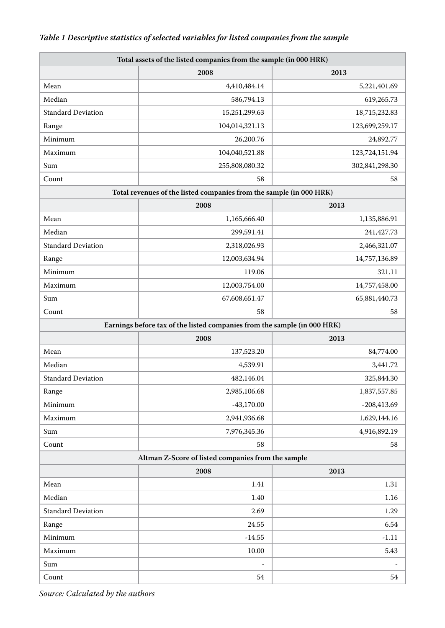# *Table 1 Descriptive statistics of selected variables for listed companies from the sample*

| Total assets of the listed companies from the sample (in 000 HRK) |                                                                          |                |  |  |  |
|-------------------------------------------------------------------|--------------------------------------------------------------------------|----------------|--|--|--|
|                                                                   | 2008<br>2013                                                             |                |  |  |  |
| Mean                                                              | 4,410,484.14                                                             | 5,221,401.69   |  |  |  |
| Median                                                            | 586,794.13                                                               | 619,265.73     |  |  |  |
| <b>Standard Deviation</b>                                         | 15,251,299.63                                                            | 18,715,232.83  |  |  |  |
| Range                                                             | 104,014,321.13<br>123,699,259.17                                         |                |  |  |  |
| Minimum                                                           | 26,200.76<br>24,892.77                                                   |                |  |  |  |
| Maximum                                                           | 104,040,521.88<br>123,724,151.94                                         |                |  |  |  |
| Sum                                                               | 255,808,080.32                                                           | 302,841,298.30 |  |  |  |
| Count                                                             | 58                                                                       | 58             |  |  |  |
|                                                                   | Total revenues of the listed companies from the sample (in 000 HRK)      |                |  |  |  |
|                                                                   | 2008                                                                     | 2013           |  |  |  |
| Mean                                                              | 1,165,666.40                                                             | 1,135,886.91   |  |  |  |
| Median                                                            | 299,591.41                                                               | 241,427.73     |  |  |  |
| <b>Standard Deviation</b>                                         | 2,318,026.93                                                             | 2,466,321.07   |  |  |  |
| Range                                                             | 12,003,634.94                                                            | 14,757,136.89  |  |  |  |
| Minimum                                                           | 119.06                                                                   | 321.11         |  |  |  |
| Maximum                                                           | 12,003,754.00                                                            | 14,757,458.00  |  |  |  |
| Sum                                                               | 67,608,651.47                                                            | 65,881,440.73  |  |  |  |
| Count                                                             | 58                                                                       | 58             |  |  |  |
|                                                                   | Earnings before tax of the listed companies from the sample (in 000 HRK) |                |  |  |  |
|                                                                   | 2008                                                                     | 2013           |  |  |  |
| Mean                                                              | 137,523.20                                                               | 84,774.00      |  |  |  |
| Median                                                            | 4,539.91                                                                 | 3,441.72       |  |  |  |
| <b>Standard Deviation</b>                                         | 482,146.04                                                               | 325,844.30     |  |  |  |
| Range                                                             | 2,985,106.68                                                             | 1,837,557.85   |  |  |  |
| Minimum                                                           | $-43,170.00$                                                             | $-208,413.69$  |  |  |  |
| Maximum                                                           | 2,941,936.68                                                             | 1,629,144.16   |  |  |  |
| Sum                                                               | 7,976,345.36                                                             | 4,916,892.19   |  |  |  |
| Count                                                             | 58                                                                       | 58             |  |  |  |
|                                                                   | Altman Z-Score of listed companies from the sample                       |                |  |  |  |
|                                                                   | 2008                                                                     | 2013           |  |  |  |
| Mean                                                              | 1.41                                                                     | 1.31           |  |  |  |
| Median                                                            | 1.40                                                                     | 1.16           |  |  |  |
| <b>Standard Deviation</b>                                         | 2.69                                                                     | 1.29           |  |  |  |
| Range                                                             | 24.55                                                                    | 6.54           |  |  |  |
| Minimum                                                           | $-14.55$                                                                 | $-1.11$        |  |  |  |
| Maximum                                                           | 10.00                                                                    | 5.43           |  |  |  |
| Sum                                                               | $\overline{\phantom{a}}$                                                 |                |  |  |  |
| Count                                                             | 54                                                                       | 54             |  |  |  |

*Source: Calculated by the authors*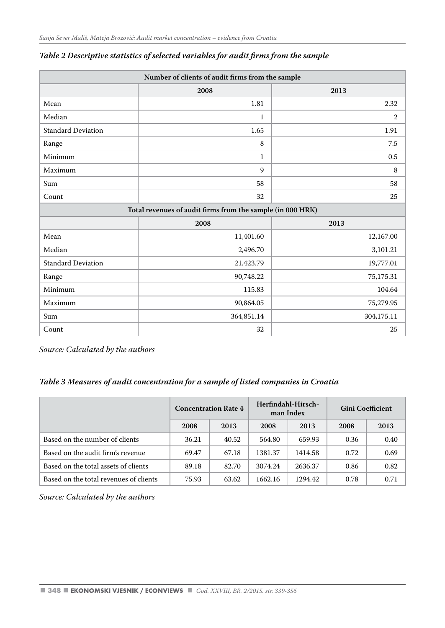| Number of clients of audit firms from the sample           |              |                |  |  |  |  |
|------------------------------------------------------------|--------------|----------------|--|--|--|--|
|                                                            | 2008<br>2013 |                |  |  |  |  |
| Mean                                                       | 1.81         | 2.32           |  |  |  |  |
| Median                                                     | $\mathbf{1}$ | $\overline{2}$ |  |  |  |  |
| <b>Standard Deviation</b>                                  | 1.65         | 1.91           |  |  |  |  |
| Range                                                      | 8            | 7.5            |  |  |  |  |
| Minimum                                                    | $\mathbf{1}$ | 0.5            |  |  |  |  |
| Maximum                                                    | 9            | 8              |  |  |  |  |
| Sum                                                        | 58           | 58             |  |  |  |  |
| Count                                                      | 32           | 25             |  |  |  |  |
| Total revenues of audit firms from the sample (in 000 HRK) |              |                |  |  |  |  |
|                                                            | 2008         | 2013           |  |  |  |  |
| Mean                                                       | 11,401.60    | 12,167.00      |  |  |  |  |
| Median                                                     | 2,496.70     | 3,101.21       |  |  |  |  |
| <b>Standard Deviation</b>                                  | 21,423.79    | 19,777.01      |  |  |  |  |
| Range                                                      | 90,748.22    | 75,175.31      |  |  |  |  |
| Minimum                                                    | 115.83       | 104.64         |  |  |  |  |
| Maximum                                                    | 90,864.05    | 75,279.95      |  |  |  |  |
| Sum                                                        | 364,851.14   | 304,175.11     |  |  |  |  |
| Count                                                      | 32           | 25             |  |  |  |  |

#### *Table 2 Descriptive statistics of selected variables for audit firms from the sample*

*Source: Calculated by the authors*

## *Table 3 Measures of audit concentration for a sample of listed companies in Croatia*

|                                        | <b>Concentration Rate 4</b> |       | Herfindahl-Hirsch-<br>man Index |         | <b>Gini Coefficient</b> |      |
|----------------------------------------|-----------------------------|-------|---------------------------------|---------|-------------------------|------|
|                                        | 2008                        | 2013  | 2008                            | 2013    | 2008                    | 2013 |
| Based on the number of clients         | 36.21                       | 40.52 | 564.80                          | 659.93  | 0.36                    | 0.40 |
| Based on the audit firm's revenue      | 69.47                       | 67.18 | 1381.37                         | 1414.58 | 0.72                    | 0.69 |
| Based on the total assets of clients   | 89.18                       | 82.70 | 3074.24                         | 2636.37 | 0.86                    | 0.82 |
| Based on the total revenues of clients | 75.93                       | 63.62 | 1662.16                         | 1294.42 | 0.78                    | 0.71 |

*Source: Calculated by the authors*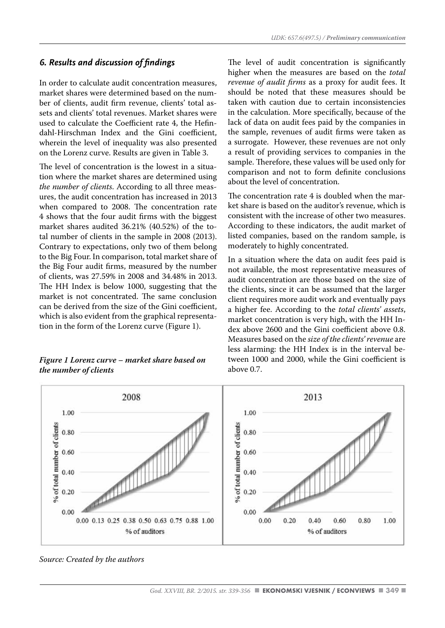# *6. Results and discussion of findings*

In order to calculate audit concentration measures, market shares were determined based on the number of clients, audit firm revenue, clients' total assets and clients' total revenues. Market shares were used to calculate the Coefficient rate 4, the Hefindahl-Hirschman Index and the Gini coefficient, wherein the level of inequality was also presented on the Lorenz curve. Results are given in Table 3.

The level of concentration is the lowest in a situation where the market shares are determined using *the number of clients*. According to all three measures, the audit concentration has increased in 2013 when compared to 2008. The concentration rate 4 shows that the four audit firms with the biggest market shares audited 36.21% (40.52%) of the total number of clients in the sample in 2008 (2013). Contrary to expectations, only two of them belong to the Big Four. In comparison, total market share of the Big Four audit firms, measured by the number of clients, was 27.59% in 2008 and 34.48% in 2013. The HH Index is below 1000, suggesting that the market is not concentrated. The same conclusion can be derived from the size of the Gini coefficient, which is also evident from the graphical representation in the form of the Lorenz curve (Figure 1).

#### *Figure 1 Lorenz curve – market share based on the number of clients*

The level of audit concentration is significantly higher when the measures are based on the *total revenue of audit firms* as a proxy for audit fees. It should be noted that these measures should be taken with caution due to certain inconsistencies in the calculation. More specifically, because of the lack of data on audit fees paid by the companies in the sample, revenues of audit firms were taken as a surrogate. However, these revenues are not only a result of providing services to companies in the sample. Therefore, these values will be used only for comparison and not to form definite conclusions about the level of concentration.

The concentration rate 4 is doubled when the market share is based on the auditor's revenue, which is consistent with the increase of other two measures. According to these indicators, the audit market of listed companies, based on the random sample, is moderately to highly concentrated.

In a situation where the data on audit fees paid is not available, the most representative measures of audit concentration are those based on the size of the clients, since it can be assumed that the larger client requires more audit work and eventually pays a higher fee. According to the *total clients' assets*, market concentration is very high, with the HH Index above 2600 and the Gini coefficient above 0.8. Measures based on the *size of the clients' revenue* are less alarming: the HH Index is in the interval between 1000 and 2000, while the Gini coefficient is above 0.7.



*Source: Created by the authors*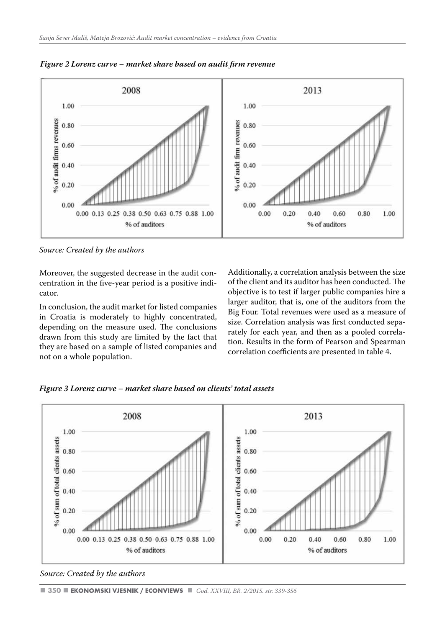

*Figure 2 Lorenz curve – market share based on audit firm revenue*

*Source: Created by the authors* 

Moreover, the suggested decrease in the audit concentration in the five-year period is a positive indicator.

In conclusion, the audit market for listed companies in Croatia is moderately to highly concentrated, depending on the measure used. The conclusions drawn from this study are limited by the fact that they are based on a sample of listed companies and not on a whole population.

Additionally, a correlation analysis between the size of the client and its auditor has been conducted. The objective is to test if larger public companies hire a larger auditor, that is, one of the auditors from the Big Four. Total revenues were used as a measure of size. Correlation analysis was first conducted separately for each year, and then as a pooled correlation. Results in the form of Pearson and Spearman correlation coefficients are presented in table 4.

*Figure 3 Lorenz curve – market share based on clients' total assets*



*Source: Created by the authors*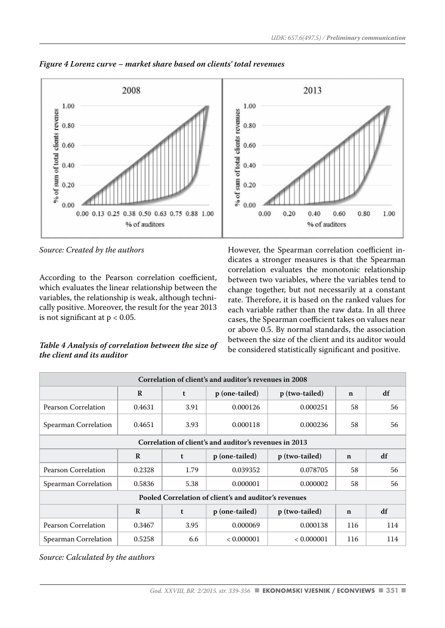

*Figure 4 Lorenz curve – market share based on clients' total revenues*

*Source: Created by the authors* 

According to the Pearson correlation coefficient, which evaluates the linear relationship between the variables, the relationship is weak, although technically positive. Moreover, the result for the year 2013 is not significant at  $p < 0.05$ .

## *Table 4 Analysis of correlation between the size of the client and its auditor*

However, the Spearman correlation coefficient indicates a stronger measures is that the Spearman correlation evaluates the monotonic relationship between two variables, where the variables tend to change together, but not necessarily at a constant rate. Therefore, it is based on the ranked values for each variable rather than the raw data. In all three cases, the Spearman coefficient takes on values near or above 0.5. By normal standards, the association between the size of the client and its auditor would be considered statistically significant and positive.

| Correlation of client's and auditor's revenues in 2008 |              |      |                |                |             |     |  |
|--------------------------------------------------------|--------------|------|----------------|----------------|-------------|-----|--|
|                                                        | $\mathbb{R}$ | t    | p (one-tailed) | p (two-tailed) | $\mathbf n$ | df  |  |
| Pearson Correlation                                    | 0.4631       | 3.91 | 0.000126       | 0.000251       | 58          | 56  |  |
| Spearman Correlation                                   | 0.4651       | 3.93 | 0.000118       | 0.000236       | 58          | 56  |  |
| Correlation of client's and auditor's revenues in 2013 |              |      |                |                |             |     |  |
|                                                        | R            | t    | p (one-tailed) | p (two-tailed) | $\mathbf n$ | df  |  |
| Pearson Correlation                                    | 0.2328       | 1.79 | 0.039352       | 0.078705       | 58          | 56  |  |
| Spearman Correlation                                   | 0.5836       | 5.38 | 0.000001       | 0.000002       | 58          | 56  |  |
| Pooled Correlation of client's and auditor's revenues  |              |      |                |                |             |     |  |
|                                                        | R            | t    | p (one-tailed) | p (two-tailed) | $\mathbf n$ | df  |  |
| Pearson Correlation                                    | 0.3467       | 3.95 | 0.000069       | 0.000138       | 116         | 114 |  |
| Spearman Correlation                                   | 0.5258       | 6.6  | < 0.000001     | < 0.000001     | 116         | 114 |  |

*Source: Calculated by the authors*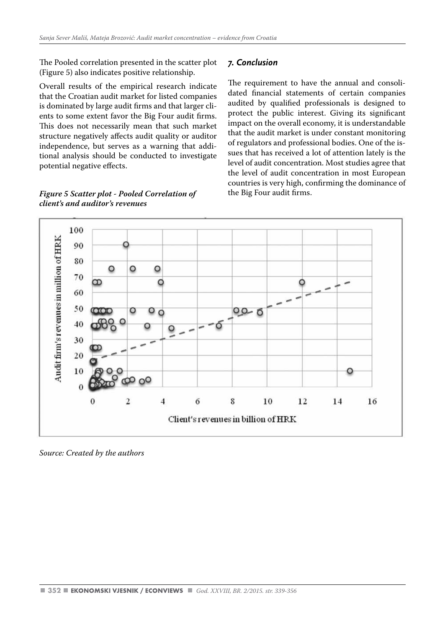The Pooled correlation presented in the scatter plot (Figure 5) also indicates positive relationship.

Overall results of the empirical research indicate that the Croatian audit market for listed companies is dominated by large audit firms and that larger clients to some extent favor the Big Four audit firms. This does not necessarily mean that such market structure negatively affects audit quality or auditor independence, but serves as a warning that additional analysis should be conducted to investigate potential negative effects.

#### *Figure 5 Scatter plot - Pooled Correlation of client's and auditor's revenues*

#### *7. Conclusion*

The requirement to have the annual and consolidated financial statements of certain companies audited by qualified professionals is designed to protect the public interest. Giving its significant impact on the overall economy, it is understandable that the audit market is under constant monitoring of regulators and professional bodies. One of the issues that has received a lot of attention lately is the level of audit concentration. Most studies agree that the level of audit concentration in most European countries is very high, confirming the dominance of the Big Four audit firms.



*Source: Created by the authors*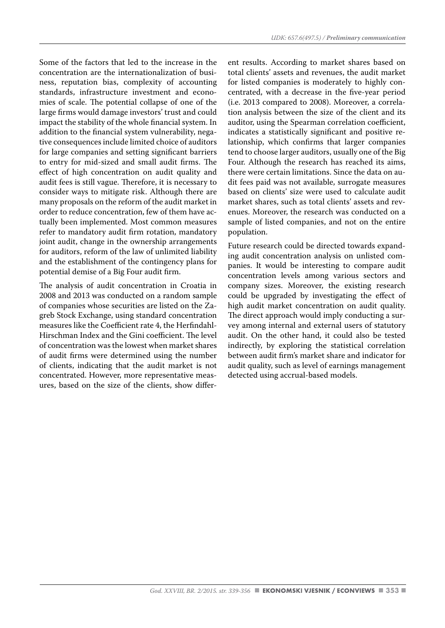Some of the factors that led to the increase in the concentration are the internationalization of business, reputation bias, complexity of accounting standards, infrastructure investment and economies of scale. The potential collapse of one of the large firms would damage investors' trust and could impact the stability of the whole financial system. In addition to the financial system vulnerability, negative consequences include limited choice of auditors for large companies and setting significant barriers to entry for mid-sized and small audit firms. The effect of high concentration on audit quality and audit fees is still vague. Therefore, it is necessary to consider ways to mitigate risk. Although there are many proposals on the reform of the audit market in order to reduce concentration, few of them have actually been implemented. Most common measures refer to mandatory audit firm rotation, mandatory joint audit, change in the ownership arrangements for auditors, reform of the law of unlimited liability and the establishment of the contingency plans for potential demise of a Big Four audit firm.

The analysis of audit concentration in Croatia in 2008 and 2013 was conducted on a random sample of companies whose securities are listed on the Zagreb Stock Exchange, using standard concentration measures like the Coefficient rate 4, the Herfindahl-Hirschman Index and the Gini coefficient. The level of concentration was the lowest when market shares of audit firms were determined using the number of clients, indicating that the audit market is not concentrated. However, more representative measures, based on the size of the clients, show differ-

ent results. According to market shares based on total clients' assets and revenues, the audit market for listed companies is moderately to highly concentrated, with a decrease in the five-year period (i.e. 2013 compared to 2008). Moreover, a correlation analysis between the size of the client and its auditor, using the Spearman correlation coefficient, indicates a statistically significant and positive relationship, which confirms that larger companies tend to choose larger auditors, usually one of the Big Four. Although the research has reached its aims, there were certain limitations. Since the data on audit fees paid was not available, surrogate measures based on clients' size were used to calculate audit market shares, such as total clients' assets and revenues. Moreover, the research was conducted on a sample of listed companies, and not on the entire population.

Future research could be directed towards expanding audit concentration analysis on unlisted companies. It would be interesting to compare audit concentration levels among various sectors and company sizes. Moreover, the existing research could be upgraded by investigating the effect of high audit market concentration on audit quality. The direct approach would imply conducting a survey among internal and external users of statutory audit. On the other hand, it could also be tested indirectly, by exploring the statistical correlation between audit firm's market share and indicator for audit quality, such as level of earnings management detected using accrual-based models.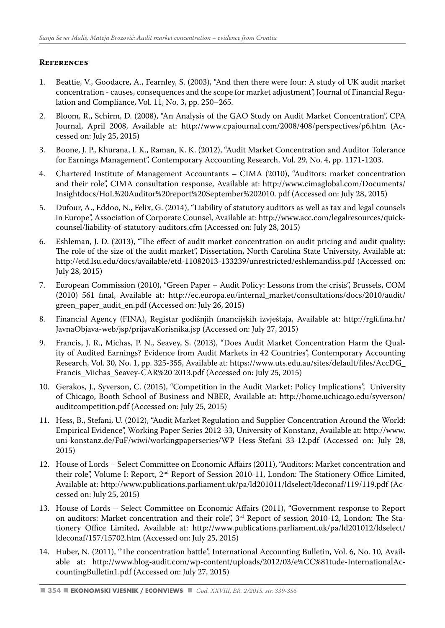#### **References**

- 1. Beattie, V., Goodacre, A., Fearnley, S. (2003), "And then there were four: A study of UK audit market concentration - causes, consequences and the scope for market adjustment", Journal of Financial Regulation and Compliance, Vol. 11, No. 3, pp. 250–265.
- 2. Bloom, R., Schirm, D. (2008), "An Analysis of the GAO Study on Audit Market Concentration", CPA Journal, April 2008, Available at: http://www.cpajournal.com/2008/408/perspectives/p6.htm (Accessed on: July 25, 2015)
- 3. Boone, J. P., Khurana, I. K., Raman, K. K. (2012), "Audit Market Concentration and Auditor Tolerance for Earnings Management", Contemporary Accounting Research, Vol. 29, No. 4, pp. 1171-1203.
- 4. Chartered Institute of Management Accountants CIMA (2010), "Auditors: market concentration and their role", CIMA consultation response, Available at: http://www.cimaglobal.com/Documents/ Insightdocs/HoL%20Auditor%20report%20September%202010. pdf (Accessed on: July 28, 2015)
- 5. Dufour, A., Eddoo, N., Felix, G. (2014), "Liability of statutory auditors as well as tax and legal counsels in Europe", Association of Corporate Counsel, Available at: http://www.acc.com/legalresources/quickcounsel/liability-of-statutory-auditors.cfm (Accessed on: July 28, 2015)
- 6. Eshleman, J. D. (2013), "The effect of audit market concentration on audit pricing and audit quality: The role of the size of the audit market", Dissertation, North Carolina State University, Available at: http://etd.lsu.edu/docs/available/etd-11082013-133239/unrestricted/eshlemandiss.pdf (Accessed on: July 28, 2015)
- 7. European Commission (2010), "Green Paper Audit Policy: Lessons from the crisis", Brussels, COM (2010) 561 final, Available at: http://ec.europa.eu/internal\_market/consultations/docs/2010/audit/ green\_paper\_audit\_en.pdf (Accessed on: July 26, 2015)
- 8. Financial Agency (FINA), Registar godišnjih financijskih izvještaja, Available at: http://rgfi.fina.hr/ JavnaObjava-web/jsp/prijavaKorisnika.jsp (Accessed on: July 27, 2015)
- 9. Francis, J. R., Michas, P. N., Seavey, S. (2013), "Does Audit Market Concentration Harm the Quality of Audited Earnings? Evidence from Audit Markets in 42 Countries", Contemporary Accounting Research, Vol. 30, No. 1, pp. 325-355, Available at: https://www.uts.edu.au/sites/default/files/AccDG\_ Francis\_Michas\_Seavey-CAR%20 2013.pdf (Accessed on: July 25, 2015)
- 10. Gerakos, J., Syverson, C. (2015), "Competition in the Audit Market: Policy Implications", University of Chicago, Booth School of Business and NBER, Available at: http://home.uchicago.edu/syverson/ auditcompetition.pdf (Accessed on: July 25, 2015)
- 11. Hess, B., Stefani, U. (2012), "Audit Market Regulation and Supplier Concentration Around the World: Empirical Evidence", Working Paper Series 2012-33, University of Konstanz, Available at: http://www. uni-konstanz.de/FuF/wiwi/workingpaperseries/WP\_Hess-Stefani\_33-12.pdf (Accessed on: July 28, 2015)
- 12. House of Lords Select Committee on Economic Affairs (2011), "Auditors: Market concentration and their role", Volume I: Report, 2nd Report of Session 2010-11, London: The Stationery Office Limited, Available at: http://www.publications.parliament.uk/pa/ld201011/ldselect/ldeconaf/119/119.pdf (Accessed on: July 25, 2015)
- 13. House of Lords Select Committee on Economic Affairs (2011), "Government response to Report on auditors: Market concentration and their role", 3rd Report of session 2010-12, London: The Stationery Office Limited, Available at: http://www.publications.parliament.uk/pa/ld201012/ldselect/ ldeconaf/157/15702.htm (Accessed on: July 25, 2015)
- 14. Huber, N. (2011), "The concentration battle", International Accounting Bulletin, Vol. 6, No. 10, Available at: http://www.blog-audit.com/wp-content/uploads/2012/03/e%CC%81tude-InternationalAccountingBulletin1.pdf (Accessed on: July 27, 2015)

**<sup>354</sup>** *God. XXVIII, BR. 2/2015. str. 339-356*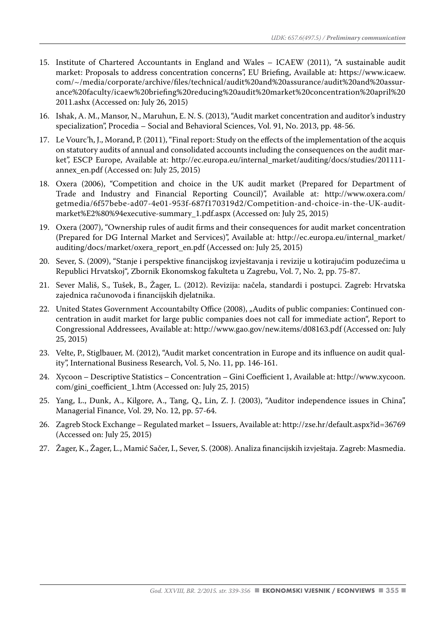- 15. Institute of Chartered Accountants in England and Wales ICAEW (2011), "A sustainable audit market: Proposals to address concentration concerns", EU Briefing, Available at: https://www.icaew. com/~/media/corporate/archive/files/technical/audit%20and%20assurance/audit%20and%20assurance%20faculty/icaew%20briefing%20reducing%20audit%20market%20concentration%20april%20 2011.ashx (Accessed on: July 26, 2015)
- 16. Ishak, A. M., Mansor, N., Maruhun, E. N. S. (2013), "Audit market concentration and auditor's industry specialization", Procedia – Social and Behavioral Sciences, Vol. 91, No. 2013, pp. 48-56.
- 17. Le Vourc'h, J., Morand, P. (2011), "Final report: Study on the effects of the implementation of the acquis on statutory audits of annual and consolidated accounts including the consequences on the audit market", ESCP Europe, Available at: http://ec.europa.eu/internal\_market/auditing/docs/studies/201111annex\_en.pdf (Accessed on: July 25, 2015)
- 18. Oxera (2006), "Competition and choice in the UK audit market (Prepared for Department of Trade and Industry and Financial Reporting Council)", Available at: http://www.oxera.com/ getmedia/6f57bebe-ad07-4e01-953f-687f170319d2/Competition-and-choice-in-the-UK-auditmarket%E2%80%94executive-summary\_1.pdf.aspx (Accessed on: July 25, 2015)
- 19. Oxera (2007), "Ownership rules of audit firms and their consequences for audit market concentration (Prepared for DG Internal Market and Services)", Available at: http://ec.europa.eu/internal\_market/ auditing/docs/market/oxera\_report\_en.pdf (Accessed on: July 25, 2015)
- 20. Sever, S. (2009), "Stanje i perspektive financijskog izvještavanja i revizije u kotirajućim poduzećima u Republici Hrvatskoj", Zbornik Ekonomskog fakulteta u Zagrebu, Vol. 7, No. 2, pp. 75-87.
- 21. Sever Mališ, S., Tušek, B., Žager, L. (2012). Revizija: načela, standardi i postupci. Zagreb: Hrvatska zajednica računovođa i financijskih djelatnika.
- 22. United States Government Accountabilty Office (2008), "Audits of public companies: Continued concentration in audit market for large public companies does not call for immediate action", Report to Congressional Addressees, Available at: http://www.gao.gov/new.items/d08163.pdf (Accessed on: July 25, 2015)
- 23. Velte, P., Stiglbauer, M. (2012), "Audit market concentration in Europe and its influence on audit quality", International Business Research, Vol. 5, No. 11, pp. 146-161.
- 24. Xycoon Descriptive Statistics Concentration Gini Coefficient 1, Available at: http://www.xycoon. com/gini\_coefficient\_1.htm (Accessed on: July 25, 2015)
- 25. Yang, L., Dunk, A., Kilgore, A., Tang, Q., Lin, Z. J. (2003), "Auditor independence issues in China", Managerial Finance, Vol. 29, No. 12, pp. 57-64.
- 26. Zagreb Stock Exchange Regulated market Issuers, Available at: http://zse.hr/default.aspx?id=36769 (Accessed on: July 25, 2015)
- 27. Žager, K., Žager, L., Mamić Sačer, I., Sever, S. (2008). Analiza financijskih izvještaja. Zagreb: Masmedia.